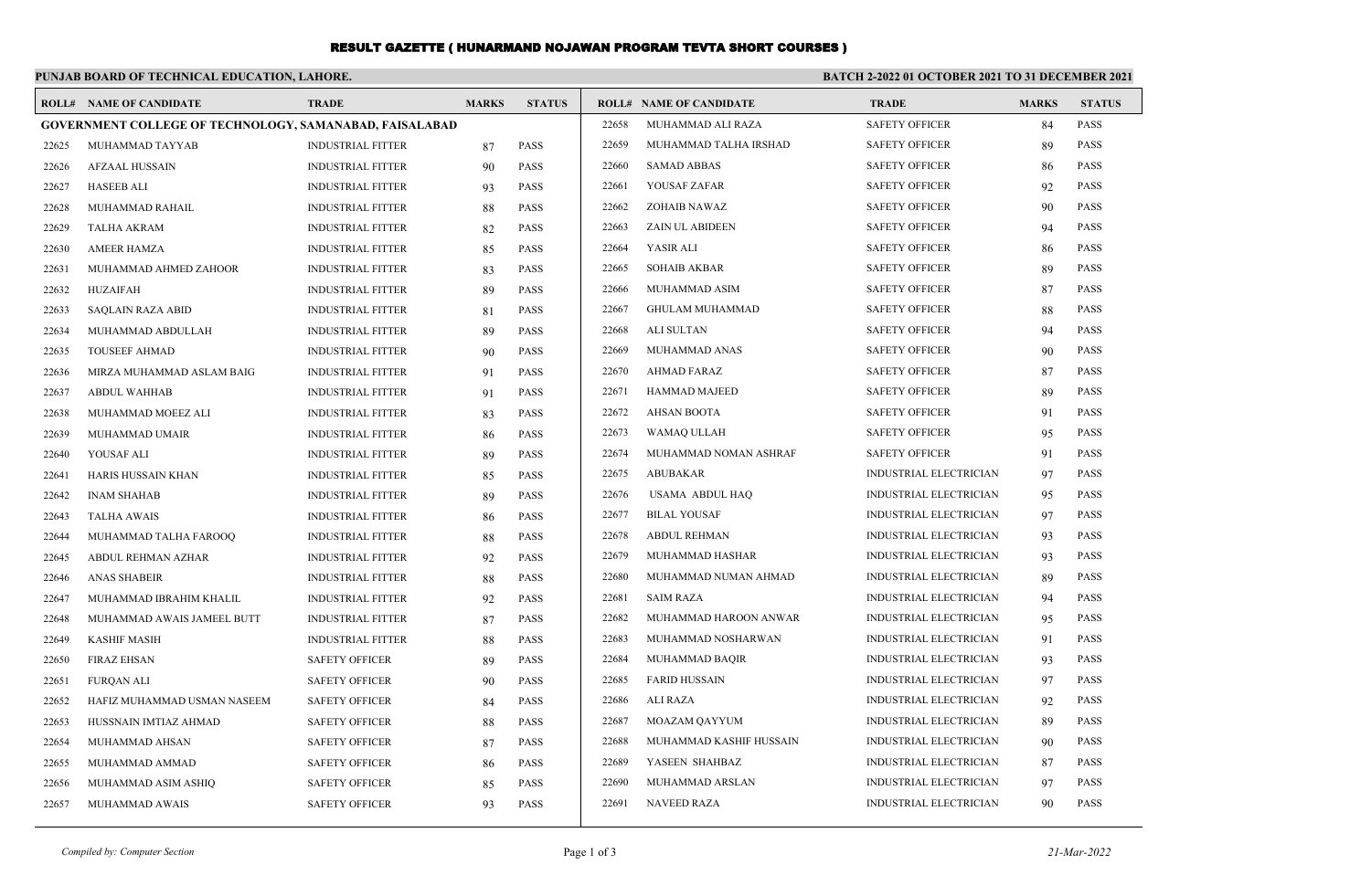## RESULT GAZETTE ( HUNARMAND NOJAWAN PROGRAM TEVTA SHORT COURSES )

## **PUNJAB BOARD OF TECHNICAL EDUCATION, LAHORE. BATCH 2-2022 01 OCTOBER 2021 TO 31 DECEMBER 2021 ROLL# NAME OF CANDIDATE TRADE MARKS STATUS ROLL# NAME OF CANDIDATE TRADE MARKS STATUS GOVERNMENT COLLEGE OF TECHNOLOGY, SAMANABAD, FAISALABAD** 22625 MUHAMMAD TAYYAB INDUSTRIAL FITTER 87 PASS 22626 AFZAAL HUSSAIN INDUSTRIAL FITTER 90 PASS 22627 HASEEB ALI INDUSTRIAL FITTER 93 PASS 22628 MUHAMMAD RAHAIL INDUSTRIAL FITTER 88 PASS 22629 TALHA AKRAM INDUSTRIAL FITTER 82 PASS 22630 AMEER HAMZA INDUSTRIAL FITTER 85 PASS 22631 MUHAMMAD AHMED ZAHOOR INDUSTRIAL FITTER 83 PASS 22632 HUZAIFAH INDUSTRIAL FITTER 89 PASS 22633 SAQLAIN RAZA ABID INDUSTRIAL FITTER 81 PASS 22634 MUHAMMAD ABDULLAH INDUSTRIAL FITTER 89 PASS 22635 TOUSEEF AHMAD INDUSTRIAL FITTER 90 PASS 22636 MIRZA MUHAMMAD ASLAM BAIG INDUSTRIAL FITTER 91 PASS 22637 ABDUL WAHHAB INDUSTRIAL FITTER 91 PASS 22638 MUHAMMAD MOEEZ ALI INDUSTRIAL FITTER 83 PASS 22639 MUHAMMAD UMAIR INDUSTRIAL FITTER 86 PASS 22640 YOUSAF ALI INDUSTRIAL FITTER 89 PASS 22641 HARIS HUSSAIN KHAN INDUSTRIAL FITTER 85 PASS 22642 INAM SHAHAB INDUSTRIAL FITTER 89 PASS 22643 TALHA AWAIS INDUSTRIAL FITTER 86 PASS 22644 MUHAMMAD TALHA FAROOQ INDUSTRIAL FITTER 88 PASS 22645 ABDUL REHMAN AZHAR INDUSTRIAL FITTER 92 PASS 22646 ANAS SHABEIR INDUSTRIAL FITTER 88 PASS 22647 MUHAMMAD IBRAHIM KHALIL INDUSTRIAL FITTER 92 PASS 22648 MUHAMMAD AWAIS JAMEEL BUTT INDUSTRIAL FITTER 87 PASS 22649 KASHIF MASIH INDUSTRIAL FITTER 88 PASS 22650 FIRAZ EHSAN SAFETY OFFICER 89 PASS 22651 FURQAN ALI SAFETY OFFICER 90 PASS 22652 HAFIZ MUHAMMAD USMAN NASEEM SAFETY OFFICER 84 PASS 22653 HUSSNAIN IMTIAZ AHMAD SAFETY OFFICER 88 PASS 22654 MUHAMMAD AHSAN SAFETY OFFICER 87 PASS 22655 MUHAMMAD AMMAD SAFETY OFFICER 86 PASS 22656 MUHAMMAD ASIM ASHIQ SAFETY OFFICER 85 PASS 22657 MUHAMMAD AWAIS SAFETY OFFICER 93 PASS 22658 MUHAMMAD ALI RAZA SAFETY OFFICER 84 PASS 22659 MUHAMMAD TALHA IRSHAD SAFETY OFFICER 89 PASS 22660 SAMAD ABBAS SAFETY OFFICER 86 PASS 22661 YOUSAF ZAFAR SAFETY OFFICER 92 PASS 22662 ZOHAIB NAWAZ SAFETY OFFICER 90 PASS 22663 ZAIN UL ABIDEEN SAFETY OFFICER 94 PASS 22664 YASIR ALI SAFETY OFFICER 86 PASS 22665 SOHAIB AKBAR SAFETY OFFICER 89 PASS 22666 MUHAMMAD ASIM SAFETY OFFICER 87 PASS 22667 GHULAM MUHAMMAD SAFETY OFFICER 88 PASS 22668 ALI SULTAN SAFETY OFFICER 94 PASS 22669 MUHAMMAD ANAS SAFETY OFFICER 90 PASS 22670 AHMAD FARAZ SAFETY OFFICER 87 PASS 22671 HAMMAD MAJEED SAFETY OFFICER 89 PASS 22672 AHSAN BOOTA SAFETY OFFICER 91 PASS 22673 WAMAQ ULLAH SAFETY OFFICER 95 PASS 22674 MUHAMMAD NOMAN ASHRAF SAFETY OFFICER 91 PASS 22675 ABUBAKAR INDUSTRIAL ELECTRICIAN 97 PASS 22676 USAMA ABDUL HAQ INDUSTRIAL ELECTRICIAN 95 PASS 22677 BILAL YOUSAF INDUSTRIAL ELECTRICIAN 97 PASS 22678 ABDUL REHMAN INDUSTRIAL ELECTRICIAN 93 PASS 22679 MUHAMMAD HASHAR INDUSTRIAL ELECTRICIAN 93 PASS 22680 MUHAMMAD NUMAN AHMAD INDUSTRIAL ELECTRICIAN 89 PASS 22681 SAIM RAZA INDUSTRIAL ELECTRICIAN 94 PASS 22682 MUHAMMAD HAROON ANWAR INDUSTRIAL ELECTRICIAN 95 PASS 22683 MUHAMMAD NOSHARWAN INDUSTRIAL ELECTRICIAN 91 PASS 22684 MUHAMMAD BAQIR INDUSTRIAL ELECTRICIAN 93 PASS 22685 FARID HUSSAIN INDUSTRIAL ELECTRICIAN 97 PASS 22686 ALI RAZA INDUSTRIAL ELECTRICIAN 92 PASS 22687 MOAZAM QAYYUM INDUSTRIAL ELECTRICIAN 89 PASS 22688 MUHAMMAD KASHIF HUSSAIN INDUSTRIAL ELECTRICIAN 90 PASS 22689 YASEEN SHAHBAZ INDUSTRIAL ELECTRICIAN 87 PASS 22690 MUHAMMAD ARSLAN INDUSTRIAL ELECTRICIAN 97 PASS 22691 NAVEED RAZA INDUSTRIAL ELECTRICIAN 90 PASS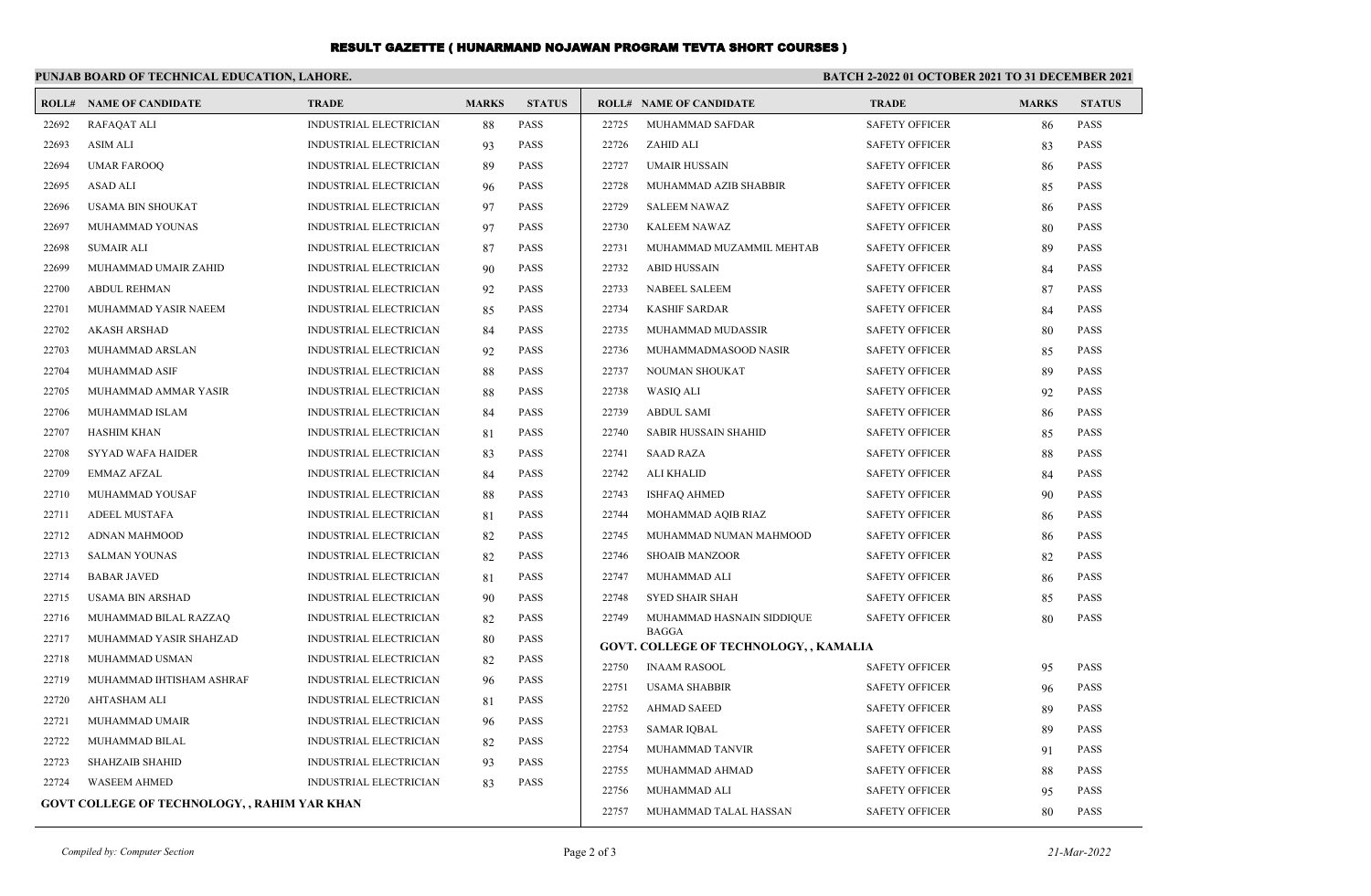## RESULT GAZETTE ( HUNARMAND NOJAWAN PROGRAM TEVTA SHORT COURSES )

| PUNJAB BOARD OF TECHNICAL EDUCATION, LAHORE.<br><b>BATCH 2-2022 01 OCTOBER 2021 TO 31 DECEMBER 2021</b> |                                |                               |              |               |       |                                                        |                       |              |               |  |  |  |
|---------------------------------------------------------------------------------------------------------|--------------------------------|-------------------------------|--------------|---------------|-------|--------------------------------------------------------|-----------------------|--------------|---------------|--|--|--|
|                                                                                                         | <b>ROLL# NAME OF CANDIDATE</b> | <b>TRADE</b>                  | <b>MARKS</b> | <b>STATUS</b> |       | <b>ROLL# NAME OF CANDIDATE</b>                         | <b>TRADE</b>          | <b>MARKS</b> | <b>STATUS</b> |  |  |  |
| 22692                                                                                                   | <b>RAFAQAT ALI</b>             | <b>INDUSTRIAL ELECTRICIAN</b> | 88           | <b>PASS</b>   | 22725 | MUHAMMAD SAFDAR                                        | <b>SAFETY OFFICER</b> | 86           | <b>PASS</b>   |  |  |  |
| 22693                                                                                                   | <b>ASIM ALI</b>                | <b>INDUSTRIAL ELECTRICIAN</b> | 93           | <b>PASS</b>   | 22726 | ZAHID ALI                                              | <b>SAFETY OFFICER</b> | 83           | <b>PASS</b>   |  |  |  |
| 22694                                                                                                   | <b>UMAR FAROOQ</b>             | INDUSTRIAL ELECTRICIAN        | 89           | <b>PASS</b>   | 22727 | <b>UMAIR HUSSAIN</b>                                   | <b>SAFETY OFFICER</b> | 86           | <b>PASS</b>   |  |  |  |
| 22695                                                                                                   | ASAD ALI                       | <b>INDUSTRIAL ELECTRICIAN</b> | 96           | <b>PASS</b>   | 22728 | MUHAMMAD AZIB SHABBIR                                  | <b>SAFETY OFFICER</b> | 85           | <b>PASS</b>   |  |  |  |
| 22696                                                                                                   | <b>USAMA BIN SHOUKAT</b>       | <b>INDUSTRIAL ELECTRICIAN</b> | 97           | <b>PASS</b>   | 22729 | SALEEM NAWAZ                                           | <b>SAFETY OFFICER</b> | 86           | <b>PASS</b>   |  |  |  |
| 22697                                                                                                   | MUHAMMAD YOUNAS                | <b>INDUSTRIAL ELECTRICIAN</b> | 97           | <b>PASS</b>   | 22730 | <b>KALEEM NAWAZ</b>                                    | <b>SAFETY OFFICER</b> | 80           | <b>PASS</b>   |  |  |  |
| 22698                                                                                                   | <b>SUMAIR ALI</b>              | <b>INDUSTRIAL ELECTRICIAN</b> | 87           | <b>PASS</b>   | 22731 | MUHAMMAD MUZAMMIL MEHTAB                               | <b>SAFETY OFFICER</b> | 89           | <b>PASS</b>   |  |  |  |
| 22699                                                                                                   | MUHAMMAD UMAIR ZAHID           | <b>INDUSTRIAL ELECTRICIAN</b> | 90           | <b>PASS</b>   | 22732 | ABID HUSSAIN                                           | <b>SAFETY OFFICER</b> | 84           | <b>PASS</b>   |  |  |  |
| 22700                                                                                                   | <b>ABDUL REHMAN</b>            | INDUSTRIAL ELECTRICIAN        | 92           | PASS          | 22733 | <b>NABEEL SALEEM</b>                                   | <b>SAFETY OFFICER</b> | 87           | <b>PASS</b>   |  |  |  |
| 22701                                                                                                   | MUHAMMAD YASIR NAEEM           | INDUSTRIAL ELECTRICIAN        | 85           | <b>PASS</b>   | 22734 | <b>KASHIF SARDAR</b>                                   | <b>SAFETY OFFICER</b> | 84           | <b>PASS</b>   |  |  |  |
| 22702                                                                                                   | <b>AKASH ARSHAD</b>            | <b>INDUSTRIAL ELECTRICIAN</b> | 84           | <b>PASS</b>   | 22735 | MUHAMMAD MUDASSIR                                      | <b>SAFETY OFFICER</b> | 80           | <b>PASS</b>   |  |  |  |
| 22703                                                                                                   | MUHAMMAD ARSLAN                | INDUSTRIAL ELECTRICIAN        | 92           | <b>PASS</b>   | 22736 | MUHAMMADMASOOD NASIR                                   | <b>SAFETY OFFICER</b> | 85           | <b>PASS</b>   |  |  |  |
| 22704                                                                                                   | MUHAMMAD ASIF                  | INDUSTRIAL ELECTRICIAN        | 88           | <b>PASS</b>   | 22737 | NOUMAN SHOUKAT                                         | <b>SAFETY OFFICER</b> | 89           | <b>PASS</b>   |  |  |  |
| 22705                                                                                                   | MUHAMMAD AMMAR YASIR           | <b>INDUSTRIAL ELECTRICIAN</b> | 88           | <b>PASS</b>   | 22738 | <b>WASIQ ALI</b>                                       | <b>SAFETY OFFICER</b> | 92           | <b>PASS</b>   |  |  |  |
| 22706                                                                                                   | MUHAMMAD ISLAM                 | INDUSTRIAL ELECTRICIAN        | 84           | <b>PASS</b>   | 22739 | <b>ABDUL SAMI</b>                                      | <b>SAFETY OFFICER</b> | 86           | <b>PASS</b>   |  |  |  |
| 22707                                                                                                   | <b>HASHIM KHAN</b>             | INDUSTRIAL ELECTRICIAN        | 81           | <b>PASS</b>   | 22740 | SABIR HUSSAIN SHAHID                                   | <b>SAFETY OFFICER</b> | 85           | <b>PASS</b>   |  |  |  |
| 22708                                                                                                   | <b>SYYAD WAFA HAIDER</b>       | INDUSTRIAL ELECTRICIAN        | 83           | <b>PASS</b>   | 22741 | <b>SAAD RAZA</b>                                       | <b>SAFETY OFFICER</b> | 88           | <b>PASS</b>   |  |  |  |
| 22709                                                                                                   | EMMAZ AFZAL                    | <b>INDUSTRIAL ELECTRICIAN</b> | 84           | <b>PASS</b>   | 22742 | <b>ALI KHALID</b>                                      | <b>SAFETY OFFICER</b> | 84           | PASS          |  |  |  |
| 22710                                                                                                   | MUHAMMAD YOUSAF                | INDUSTRIAL ELECTRICIAN        | 88           | <b>PASS</b>   | 22743 | <b>ISHFAQ AHMED</b>                                    | <b>SAFETY OFFICER</b> | 90           | <b>PASS</b>   |  |  |  |
| 22711                                                                                                   | <b>ADEEL MUSTAFA</b>           | INDUSTRIAL ELECTRICIAN        | 81           | <b>PASS</b>   | 22744 | MOHAMMAD AQIB RIAZ                                     | <b>SAFETY OFFICER</b> | 86           | <b>PASS</b>   |  |  |  |
| 22712                                                                                                   | <b>ADNAN MAHMOOD</b>           | INDUSTRIAL ELECTRICIAN        | 82           | <b>PASS</b>   | 22745 | MUHAMMAD NUMAN MAHMOOD                                 | <b>SAFETY OFFICER</b> | 86           | <b>PASS</b>   |  |  |  |
| 22713                                                                                                   | <b>SALMAN YOUNAS</b>           | INDUSTRIAL ELECTRICIAN        | 82           | PASS          | 22746 | <b>SHOAIB MANZOOR</b>                                  | <b>SAFETY OFFICER</b> | 82           | <b>PASS</b>   |  |  |  |
| 22714                                                                                                   | <b>BABAR JAVED</b>             | <b>INDUSTRIAL ELECTRICIAN</b> | 81           | <b>PASS</b>   | 22747 | MUHAMMAD ALI                                           | <b>SAFETY OFFICER</b> | 86           | <b>PASS</b>   |  |  |  |
| 22715                                                                                                   | USAMA BIN ARSHAD               | <b>INDUSTRIAL ELECTRICIAN</b> | 90           | <b>PASS</b>   | 22748 | <b>SYED SHAIR SHAH</b>                                 | <b>SAFETY OFFICER</b> | 85           | <b>PASS</b>   |  |  |  |
| 22716                                                                                                   | MUHAMMAD BILAL RAZZAQ          | INDUSTRIAL ELECTRICIAN        | 82           | <b>PASS</b>   | 22749 | MUHAMMAD HASNAIN SIDDIQUE                              | <b>SAFETY OFFICER</b> | 80           | <b>PASS</b>   |  |  |  |
| 22717                                                                                                   | MUHAMMAD YASIR SHAHZAD         | INDUSTRIAL ELECTRICIAN        | 80           | <b>PASS</b>   |       | <b>BAGGA</b><br>GOVT. COLLEGE OF TECHNOLOGY, , KAMALIA |                       |              |               |  |  |  |
| 22718                                                                                                   | MUHAMMAD USMAN                 | <b>INDUSTRIAL ELECTRICIAN</b> | 82           | <b>PASS</b>   | 22750 | <b>INAAM RASOOL</b>                                    | <b>SAFETY OFFICER</b> | 95           | PASS          |  |  |  |
| 22719                                                                                                   | MUHAMMAD IHTISHAM ASHRAF       | <b>INDUSTRIAL ELECTRICIAN</b> | 96           | <b>PASS</b>   | 22751 | <b>USAMA SHABBIR</b>                                   | <b>SAFETY OFFICER</b> | 96           | <b>PASS</b>   |  |  |  |
| 22720                                                                                                   | <b>AHTASHAM ALI</b>            | INDUSTRIAL ELECTRICIAN        | 81           | <b>PASS</b>   | 22752 | <b>AHMAD SAEED</b>                                     | <b>SAFETY OFFICER</b> | 89           | <b>PASS</b>   |  |  |  |
| 22721                                                                                                   | MUHAMMAD UMAIR                 | <b>INDUSTRIAL ELECTRICIAN</b> | 96           | <b>PASS</b>   | 22753 | <b>SAMAR IQBAL</b>                                     | <b>SAFETY OFFICER</b> | 89           | <b>PASS</b>   |  |  |  |
| 22722                                                                                                   | MUHAMMAD BILAL                 | <b>INDUSTRIAL ELECTRICIAN</b> | 82           | <b>PASS</b>   | 22754 | MUHAMMAD TANVIR                                        | <b>SAFETY OFFICER</b> | 91           | <b>PASS</b>   |  |  |  |
| 22723                                                                                                   | <b>SHAHZAIB SHAHID</b>         | <b>INDUSTRIAL ELECTRICIAN</b> | 93           | <b>PASS</b>   | 22755 | MUHAMMAD AHMAD                                         | <b>SAFETY OFFICER</b> | 88           | <b>PASS</b>   |  |  |  |
| 22724                                                                                                   | <b>WASEEM AHMED</b>            | <b>INDUSTRIAL ELECTRICIAN</b> | 83           | <b>PASS</b>   | 22756 | MUHAMMAD ALI                                           | <b>SAFETY OFFICER</b> | 95           | <b>PASS</b>   |  |  |  |
| GOVT COLLEGE OF TECHNOLOGY, , RAHIM YAR KHAN                                                            |                                |                               |              |               |       | MUHAMMAD TALAL HASSAN                                  | <b>SAFETY OFFICER</b> | 80           | <b>PASS</b>   |  |  |  |
|                                                                                                         |                                |                               |              |               |       |                                                        |                       |              |               |  |  |  |